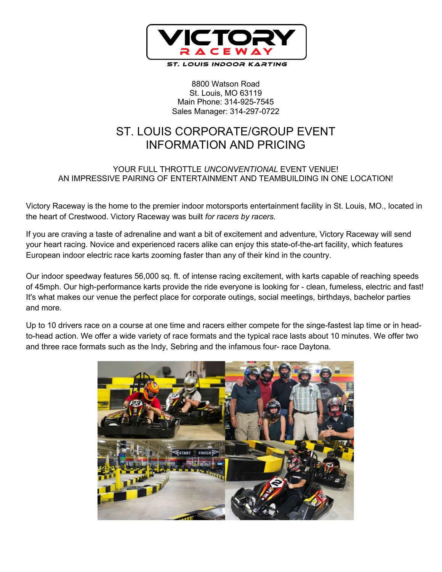

8800 Watson Road St. Louis, MO 63119 Main Phone: 314-925-7545 Sales Manager: 314-297-0722

## ST. LOUIS CORPORATE/GROUP EVENT INFORMATION AND PRICING

## YOUR FULL THROTTLE *UNCONVENTIONAL* EVENT VENUE! AN IMPRESSIVE PAIRING OF ENTERTAINMENT AND TEAMBUILDING IN ONE LOCATION!

Victory Raceway is the home to the premier indoor motorsports entertainment facility in St. Louis, MO., located in the heart of Crestwood. Victory Raceway was built *for racers by racers.*

If you are craving a taste of adrenaline and want a bit of excitement and adventure, Victory Raceway will send your heart racing. Novice and experienced racers alike can enjoy this state-of-the-art facility, which features European indoor electric race karts zooming faster than any of their kind in the country.

Our indoor speedway features 56,000 sq. ft. of intense racing excitement, with karts capable of reaching speeds of 45mph. Our high-performance karts provide the ride everyone is looking for - clean, fumeless, electric and fast! It's what makes our venue the perfect place for corporate outings, social meetings, birthdays, bachelor parties and more.

Up to 10 drivers race on a course at one time and racers either compete for the singe-fastest lap time or in headto-head action. We offer a wide variety of race formats and the typical race lasts about 10 minutes. We offer two and three race formats such as the Indy, Sebring and the infamous four- race Daytona.

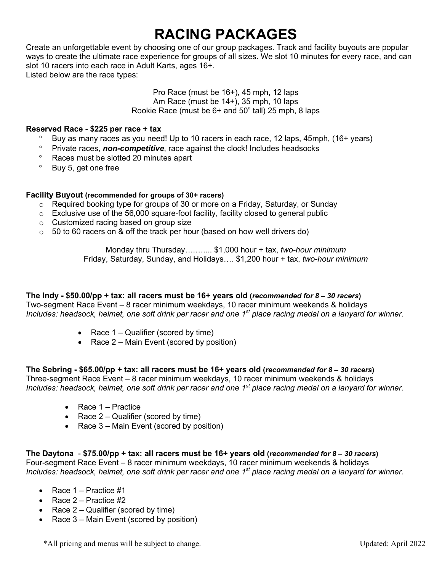# **RACING PACKAGES**

Create an unforgettable event by choosing one of our group packages. Track and facility buyouts are popular ways to create the ultimate race experience for groups of all sizes. We slot 10 minutes for every race, and can slot 10 racers into each race in Adult Karts, ages 16+. Listed below are the race types:

#### Pro Race (must be 16+), 45 mph, 12 laps Am Race (must be 14+), 35 mph, 10 laps Rookie Race (must be 6+ and 50" tall) 25 mph, 8 laps

#### **Reserved Race - \$225 per race + tax**

- Buy as many races as you need! Up to 10 racers in each race, 12 laps, 45mph, (16+ years)
- ° Private races, *non-competitive*, race against the clock! Includes headsocks
- ° Races must be slotted 20 minutes apart
- ° Buy 5, get one free

#### **Facility Buyout (recommended for groups of 30+ racers)**

- $\circ$  Required booking type for groups of 30 or more on a Friday, Saturday, or Sunday
- $\circ$  Exclusive use of the 56,000 square-foot facility, facility closed to general public
- o Customized racing based on group size
- $\circ$  50 to 60 racers on & off the track per hour (based on how well drivers do)

Monday thru Thursday….….... \$1,000 hour + tax, *two-hour minimum* Friday, Saturday, Sunday, and Holidays…. \$1,200 hour + tax, *two-hour minimum*

**The Indy - \$50.00/pp + tax: all racers must be 16+ years old (***recommended for 8 – 30 racers***)** Two-segment Race Event – 8 racer minimum weekdays, 10 racer minimum weekends & holidays *Includes: headsock, helmet, one soft drink per racer and one 1st place racing medal on a lanyard for winner.*

- Race 1 Qualifier (scored by time)
- Race 2 Main Event (scored by position)

**The Sebring - \$65.00/pp + tax: all racers must be 16+ years old (***recommended for 8 – 30 racers***)** Three-segment Race Event – 8 racer minimum weekdays, 10 racer minimum weekends & holidays *Includes: headsock, helmet, one soft drink per racer and one 1st place racing medal on a lanyard for winner.*

- Race 1 Practice
- Race 2 Qualifier (scored by time)
- Race 3 Main Event (scored by position)

### **The Daytona** - **\$75.00/pp + tax: all racers must be 16+ years old (***recommended for 8 – 30 racers***)**

Four-segment Race Event – 8 racer minimum weekdays, 10 racer minimum weekends & holidays *Includes: headsock, helmet, one soft drink per racer and one 1st place racing medal on a lanyard for winner.*

- Race  $1 -$  Practice  $\#1$
- Race  $2$  Practice  $#2$
- Race 2 Qualifier (scored by time)
- Race 3 Main Event (scored by position)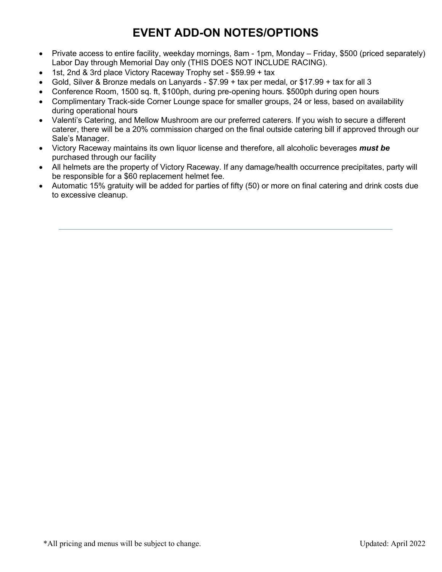## **EVENT ADD-ON NOTES/OPTIONS**

- Private access to entire facility, weekday mornings, 8am 1pm, Monday Friday, \$500 (priced separately) Labor Day through Memorial Day only (THIS DOES NOT INCLUDE RACING).
- 1st, 2nd & 3rd place Victory Raceway Trophy set \$59.99 + tax
- Gold, Silver & Bronze medals on Lanyards \$7.99 + tax per medal, or \$17.99 + tax for all 3
- Conference Room, 1500 sq. ft, \$100ph, during pre-opening hours. \$500ph during open hours
- Complimentary Track-side Corner Lounge space for smaller groups, 24 or less, based on availability during operational hours
- Valenti's Catering, and Mellow Mushroom are our preferred caterers. If you wish to secure a different caterer, there will be a 20% commission charged on the final outside catering bill if approved through our Sale's Manager.
- Victory Raceway maintains its own liquor license and therefore, all alcoholic beverages *must be*  purchased through our facility
- All helmets are the property of Victory Raceway. If any damage/health occurrence precipitates, party will be responsible for a \$60 replacement helmet fee.
- Automatic 15% gratuity will be added for parties of fifty (50) or more on final catering and drink costs due to excessive cleanup.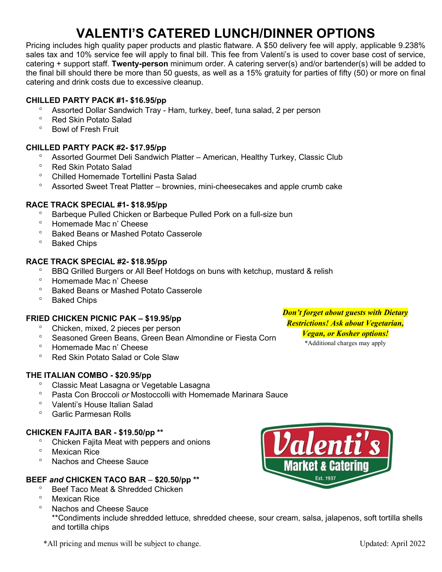# **VALENTI'S CATERED LUNCH/DINNER OPTIONS**

Pricing includes high quality paper products and plastic flatware. A \$50 delivery fee will apply, applicable 9.238% sales tax and 10% service fee will apply to final bill. This fee from Valenti's is used to cover base cost of service, catering + support staff. **Twenty-person** minimum order. A catering server(s) and/or bartender(s) will be added to the final bill should there be more than 50 guests, as well as a 15% gratuity for parties of fifty (50) or more on final catering and drink costs due to excessive cleanup.

## **CHILLED PARTY PACK #1- \$16.95/pp**

- ° Assorted Dollar Sandwich Tray Ham, turkey, beef, tuna salad, 2 per person
- ° Red Skin Potato Salad
- Bowl of Fresh Fruit

## **CHILLED PARTY PACK #2- \$17.95/pp**

- ° Assorted Gourmet Deli Sandwich Platter American, Healthy Turkey, Classic Club
- <sup>o</sup> Red Skin Potato Salad<br>
<sup>o</sup> Chilled Hemomade Ter
- ° Chilled Homemade Tortellini Pasta Salad
- ° Assorted Sweet Treat Platter brownies, mini-cheesecakes and apple crumb cake

### **RACE TRACK SPECIAL #1- \$18.95/pp**

- ° Barbeque Pulled Chicken or Barbeque Pulled Pork on a full-size bun
- ° Homemade Mac n' Cheese
- ° Baked Beans or Mashed Potato Casserole
- ° Baked Chips

### **RACE TRACK SPECIAL #2- \$18.95/pp**

- ° BBQ Grilled Burgers or All Beef Hotdogs on buns with ketchup, mustard & relish
- ° Homemade Mac n' Cheese
- ° Baked Beans or Mashed Potato Casserole
- **Baked Chips**

### **FRIED CHICKEN PICNIC PAK – \$19.95/pp**

- ° Chicken, mixed, 2 pieces per person
- ° Seasoned Green Beans, Green Bean Almondine or Fiesta Corn
- ° Homemade Mac n' Cheese
- ° Red Skin Potato Salad or Cole Slaw

### **THE ITALIAN COMBO - \$20.95/pp**

- ° Classic Meat Lasagna or Vegetable Lasagna
- ° Pasta Con Broccoli *or* Mostoccolli with Homemade Marinara Sauce
- ° Valenti's House Italian Salad
- ° Garlic Parmesan Rolls

### **CHICKEN FAJITA BAR - \$19.50/pp \*\***

- ° Chicken Fajita Meat with peppers and onions
- ° Mexican Rice
- Nachos and Cheese Sauce

## **BEEF** *and* **CHICKEN TACO BAR** – **\$20.50/pp \*\***

- <sup>o</sup> Beef Taco Meat & Shredded Chicken
- Mexican Rice
- ° Nachos and Cheese Sauce

\*\*Condiments include shredded lettuce, shredded cheese, sour cream, salsa, jalapenos, soft tortilla shells and tortilla chips



*Don't forget about guests with Dietary Restrictions! Ask about Vegetarian, Vegan, or Kosher options!*

\*Additional charges may apply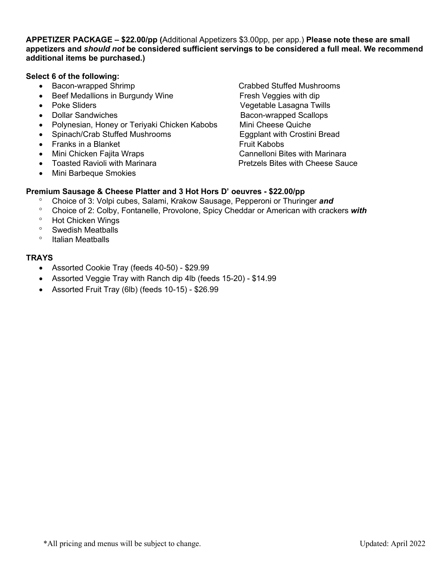**APPETIZER PACKAGE – \$22.00/pp (**Additional Appetizers \$3.00pp, per app.) **Please note these are small appetizers and** *should not* **be considered sufficient servings to be considered a full meal. We recommend additional items be purchased.)**

#### **Select 6 of the following:**

- 
- Beef Medallions in Burgundy Wine Fresh Veggies with dip
- 
- 
- Polynesian, Honey or Teriyaki Chicken Kabobs Mini Cheese Quiche
- Spinach/Crab Stuffed Mushrooms **Eggplant with Crostini Bread**
- Franks in a Blanket Fruit Kabobs
- 
- 
- Mini Barbeque Smokies

• Bacon-wrapped Shrimp **Crabbed Stuffed Mushrooms** • Poke Sliders **Vegetable Lasagna Twills** • Dollar Sandwiches **Bacon-wrapped Scallops Bacon-wrapped Scallops** • Mini Chicken Fajita Wraps Cannelloni Bites with Marinara • Toasted Ravioli with Marinara **Pretzels Bites with Cheese Sauce** 

### **Premium Sausage & Cheese Platter and 3 Hot Hors D' oeuvres - \$22.00/pp**

- ° Choice of 3: Volpi cubes, Salami, Krakow Sausage, Pepperoni or Thuringer *and*
- ° Choice of 2: Colby, Fontanelle, Provolone, Spicy Cheddar or American with crackers *with*
- ° Hot Chicken Wings
- Swedish Meatballs
- ° Italian Meatballs

#### **TRAYS**

- Assorted Cookie Tray (feeds 40-50) \$29.99
- Assorted Veggie Tray with Ranch dip 4lb (feeds 15-20) \$14.99
- Assorted Fruit Tray (6lb) (feeds 10-15) \$26.99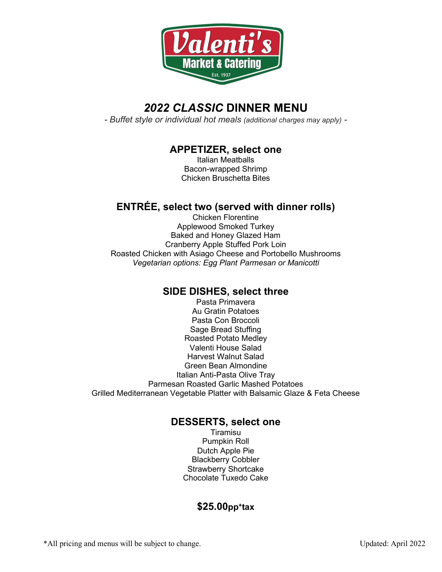

## *2022 CLASSIC* **DINNER MENU**

*- Buffet style or individual hot meals (additional charges may apply) -*

## **APPETIZER, select one**

Italian Meatballs Bacon-wrapped Shrimp Chicken Bruschetta Bites

## **ENTRÉE, select two (served with dinner rolls)**

Chicken Florentine Applewood Smoked Turkey Baked and Honey Glazed Ham Cranberry Apple Stuffed Pork Loin Roasted Chicken with Asiago Cheese and Portobello Mushrooms *Vegetarian options: Egg Plant Parmesan or Manicotti*

## **SIDE DISHES, select three**

Pasta Primavera Au Gratin Potatoes Pasta Con Broccoli Sage Bread Stuffing Roasted Potato Medley Valenti House Salad Harvest Walnut Salad Green Bean Almondine Italian Anti-Pasta Olive Tray Parmesan Roasted Garlic Mashed Potatoes Grilled Mediterranean Vegetable Platter with Balsamic Glaze & Feta Cheese

## **DESSERTS, select one**

Tiramisu Pumpkin Roll Dutch Apple Pie Blackberry Cobbler Strawberry Shortcake Chocolate Tuxedo Cake

## **\$25.00pp+tax**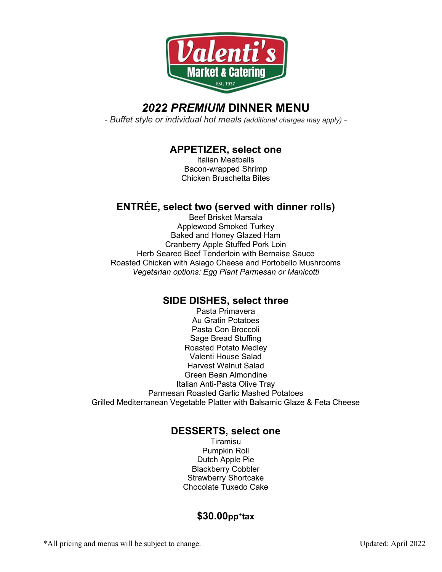

## *2022 PREMIUM* **DINNER MENU**

*- Buffet style or individual hot meals (additional charges may apply) -*

## **APPETIZER, select one**

Italian Meatballs Bacon-wrapped Shrimp Chicken Bruschetta Bites

## **ENTRÉE, select two (served with dinner rolls)**

Beef Brisket Marsala Applewood Smoked Turkey Baked and Honey Glazed Ham Cranberry Apple Stuffed Pork Loin Herb Seared Beef Tenderloin with Bernaise Sauce Roasted Chicken with Asiago Cheese and Portobello Mushrooms *Vegetarian options: Egg Plant Parmesan or Manicotti*

## **SIDE DISHES, select three**

Pasta Primavera Au Gratin Potatoes Pasta Con Broccoli Sage Bread Stuffing Roasted Potato Medley Valenti House Salad Harvest Walnut Salad Green Bean Almondine Italian Anti-Pasta Olive Tray Parmesan Roasted Garlic Mashed Potatoes Grilled Mediterranean Vegetable Platter with Balsamic Glaze & Feta Cheese

## **DESSERTS, select one**

Tiramisu Pumpkin Roll Dutch Apple Pie Blackberry Cobbler Strawberry Shortcake Chocolate Tuxedo Cake

## **\$30.00pp+tax**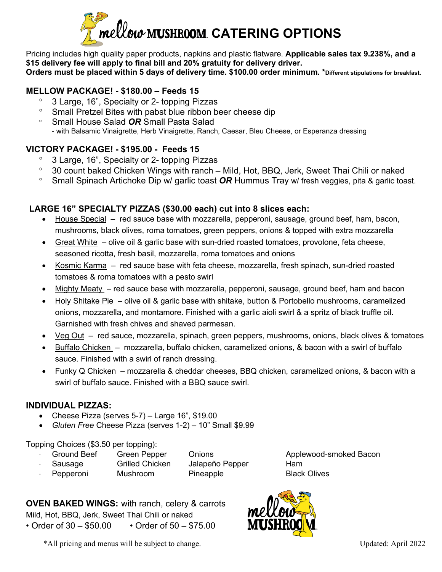

Pricing includes high quality paper products, napkins and plastic flatware. **Applicable sales tax 9.238%, and a \$15 delivery fee will apply to final bill and 20% gratuity for delivery driver. Orders must be placed within 5 days of delivery time. \$100.00 order minimum. \*Different stipulations for breakfast.**

## **MELLOW PACKAGE! - \$180.00 – Feeds 15**

- ° 3 Large, 16", Specialty or 2- topping Pizzas
- ° Small Pretzel Bites with pabst blue ribbon beer cheese dip
- ° Small House Salad *OR* Small Pasta Salad - with Balsamic Vinaigrette, Herb Vinaigrette, Ranch, Caesar, Bleu Cheese, or Esperanza dressing

## **VICTORY PACKAGE! - \$195.00 - Feeds 15**

- ° 3 Large, 16", Specialty or 2- topping Pizzas
- ° 30 count baked Chicken Wings with ranch Mild, Hot, BBQ, Jerk, Sweet Thai Chili or naked
- ° Small Spinach Artichoke Dip w/ garlic toast *OR* Hummus Tray w/ fresh veggies, pita & garlic toast.

## **LARGE 16" SPECIALTY PIZZAS (\$30.00 each) cut into 8 slices each:**

- House Special red sauce base with mozzarella, pepperoni, sausage, ground beef, ham, bacon, mushrooms, black olives, roma tomatoes, green peppers, onions & topped with extra mozzarella
- Great White olive oil & garlic base with sun-dried roasted tomatoes, provolone, feta cheese, seasoned ricotta, fresh basil, mozzarella, roma tomatoes and onions
- Kosmic Karma red sauce base with feta cheese, mozzarella, fresh spinach, sun-dried roasted tomatoes & roma tomatoes with a pesto swirl
- Mighty Meaty red sauce base with mozzarella, pepperoni, sausage, ground beef, ham and bacon
- Holy Shitake Pie olive oil & garlic base with shitake, button & Portobello mushrooms, caramelized onions, mozzarella, and montamore. Finished with a garlic aioli swirl & a spritz of black truffle oil. Garnished with fresh chives and shaved parmesan.
- Veg Out red sauce, mozzarella, spinach, green peppers, mushrooms, onions, black olives & tomatoes
- Buffalo Chicken mozzarella, buffalo chicken, caramelized onions, & bacon with a swirl of buffalo sauce. Finished with a swirl of ranch dressing.
- Funky Q Chicken mozzarella & cheddar cheeses, BBQ chicken, caramelized onions, & bacon with a swirl of buffalo sauce. Finished with a BBQ sauce swirl.

## **INDIVIDUAL PIZZAS:**

- Cheese Pizza (serves 5-7) Large 16", \$19.00
- *Gluten Free* Cheese Pizza (serves 1-2) 10" Small \$9.99

Topping Choices (\$3.50 per topping):

- ⋅ Ground Beef Green Pepper Onions Applewood-smoked Bacon
- Sausage Grilled Chicken Jalapeño Pepper Ham
	-
- 

**Pepperoni** Mushroom Pineapple Black Olives

**OVEN BAKED WINGS:** with ranch, celery & carrots Mild, Hot, BBQ, Jerk, Sweet Thai Chili or naked • Order of 30 – \$50.00 • Order of 50 – \$75.00

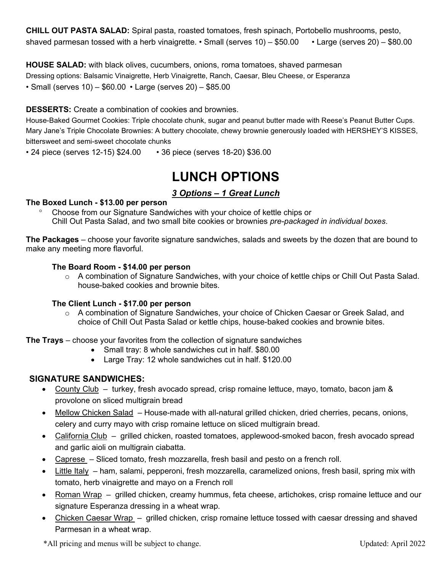**CHILL OUT PASTA SALAD:** Spiral pasta, roasted tomatoes, fresh spinach, Portobello mushrooms, pesto, shaved parmesan tossed with a herb vinaigrette. • Small (serves 10) – \$50.00 • Large (serves 20) – \$80.00

**HOUSE SALAD:** with black olives, cucumbers, onions, roma tomatoes, shaved parmesan Dressing options: Balsamic Vinaigrette, Herb Vinaigrette, Ranch, Caesar, Bleu Cheese, or Esperanza • Small (serves 10) – \$60.00 • Large (serves 20) – \$85.00

## **DESSERTS:** Create a combination of cookies and brownies.

House-Baked Gourmet Cookies: Triple chocolate chunk, sugar and peanut butter made with Reese's Peanut Butter Cups. Mary Jane's Triple Chocolate Brownies: A buttery chocolate, chewy brownie generously loaded with HERSHEY'S KISSES, bittersweet and semi-sweet chocolate chunks

• 24 piece (serves 12-15) \$24.00 • 36 piece (serves 18-20) \$36.00

## **LUNCH OPTIONS**

## *3 Options – 1 Great Lunch*

### **The Boxed Lunch - \$13.00 per person**

° Choose from our Signature Sandwiches with your choice of kettle chips or Chill Out Pasta Salad, and two small bite cookies or brownies *pre-packaged in individual boxes*.

**The Packages** – choose your favorite signature sandwiches, salads and sweets by the dozen that are bound to make any meeting more flavorful.

### **The Board Room - \$14.00 per person**

o A combination of Signature Sandwiches, with your choice of kettle chips or Chill Out Pasta Salad. house-baked cookies and brownie bites.

### **The Client Lunch - \$17.00 per person**

o A combination of Signature Sandwiches, your choice of Chicken Caesar or Greek Salad, and choice of Chill Out Pasta Salad or kettle chips, house-baked cookies and brownie bites.

**The Trays** – choose your favorites from the collection of signature sandwiches

- Small tray: 8 whole sandwiches cut in half. \$80.00
- Large Tray: 12 whole sandwiches cut in half. \$120.00

## **SIGNATURE SANDWICHES:**

- County Club turkey, fresh avocado spread, crisp romaine lettuce, mayo, tomato, bacon jam & provolone on sliced multigrain bread
- Mellow Chicken Salad House-made with all-natural grilled chicken, dried cherries, pecans, onions, celery and curry mayo with crisp romaine lettuce on sliced multigrain bread.
- California Club grilled chicken, roasted tomatoes, applewood-smoked bacon, fresh avocado spread and garlic aioli on multigrain ciabatta.
- Caprese Sliced tomato, fresh mozzarella, fresh basil and pesto on a french roll.
- Little Italy ham, salami, pepperoni, fresh mozzarella, caramelized onions, fresh basil, spring mix with tomato, herb vinaigrette and mayo on a French roll
- Roman Wrap grilled chicken, creamy hummus, feta cheese, artichokes, crisp romaine lettuce and our signature Esperanza dressing in a wheat wrap.
- Chicken Caesar Wrap grilled chicken, crisp romaine lettuce tossed with caesar dressing and shaved Parmesan in a wheat wrap.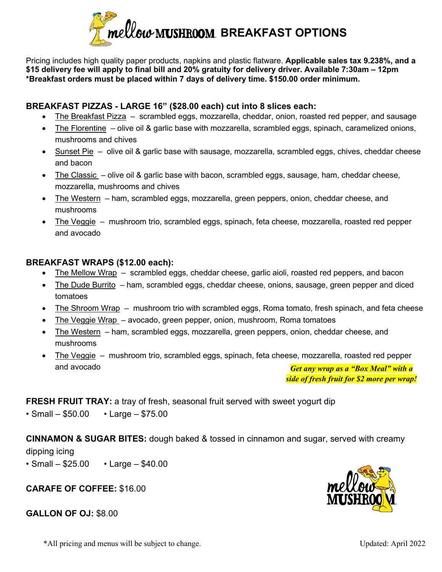

Pricing includes high quality paper products, napkins and plastic flatware. **Applicable sales tax 9.238%, and a \$15 delivery fee will apply to final bill and 20% gratuity for delivery driver. Available 7:30am – 12pm \*Breakfast orders must be placed within 7 days of delivery time. \$150.00 order minimum.**

## **BREAKFAST PIZZAS - LARGE 16" (\$28.00 each) cut into 8 slices each:**

- The Breakfast Pizza scrambled eggs, mozzarella, cheddar, onion, roasted red pepper, and sausage
- The Florentine olive oil & garlic base with mozzarella, scrambled eggs, spinach, caramelized onions, mushrooms and chives
- Sunset Pie olive oil & garlic base with sausage, mozzarella, scrambled eggs, chives, cheddar cheese and bacon
- The Classic olive oil & garlic base with bacon, scrambled eggs, sausage, ham, cheddar cheese, mozzarella, mushrooms and chives
- The Western ham, scrambled eggs, mozzarella, green peppers, onion, cheddar cheese, and mushrooms
- The Veggie mushroom trio, scrambled eggs, spinach, feta cheese, mozzarella, roasted red pepper and avocado

## **BREAKFAST WRAPS (\$12.00 each):**

- The Mellow Wrap scrambled eggs, cheddar cheese, garlic aioli, roasted red peppers, and bacon
- The Dude Burrito ham, scrambled eggs, cheddar cheese, onions, sausage, green pepper and diced tomatoes
- The Shroom Wrap mushroom trio with scrambled eggs, Roma tomato, fresh spinach, and feta cheese
- The Veggie Wrap avocado, green pepper, onion, mushroom, Roma tomatoes
- The Western ham, scrambled eggs, mozzarella, green peppers, onion, cheddar cheese, and mushrooms
- The Veggie mushroom trio, scrambled eggs, spinach, feta cheese, mozzarella, roasted red pepper and avocado *Get any wrap as a "Box Meal" with a*

*side of fresh fruit for \$2 more per wrap!*

**FRESH FRUIT TRAY:** a tray of fresh, seasonal fruit served with sweet yogurt dip

• Small –  $$50.00$  • Large –  $$75.00$ 

**CINNAMON & SUGAR BITES:** dough baked & tossed in cinnamon and sugar, served with creamy dipping icing

• Small –  $$25.00$  • Large –  $$40.00$ 

## **CARAFE OF COFFEE:** \$16.00

## **GALLON OF OJ:** \$8.00

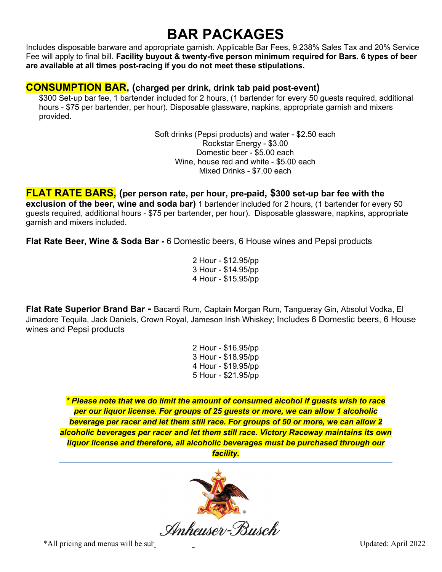# **BAR PACKAGES**

Includes disposable barware and appropriate garnish. Applicable Bar Fees, 9.238% Sales Tax and 20% Service Fee will apply to final bill. **Facility buyout & twenty-five person minimum required for Bars. 6 types of beer are available at all times post-racing if you do not meet these stipulations.** 

## **CONSUMPTION BAR, (charged per drink, drink tab paid post-event)**

\$300 Set-up bar fee, 1 bartender included for 2 hours, (1 bartender for every 50 guests required, additional hours - \$75 per bartender, per hour). Disposable glassware, napkins, appropriate garnish and mixers provided.

> Soft drinks (Pepsi products) and water - \$2.50 each Rockstar Energy - \$3.00 Domestic beer - \$5.00 each Wine, house red and white - \$5.00 each Mixed Drinks - \$7.00 each

**FLAT RATE BARS, (per person rate, per hour, pre-paid, \$300 set-up bar fee with the exclusion of the beer, wine and soda bar)** 1 bartender included for 2 hours, (1 bartender for every 50 guests required, additional hours - \$75 per bartender, per hour). Disposable glassware, napkins, appropriate garnish and mixers included.

**Flat Rate Beer, Wine & Soda Bar -** 6 Domestic beers, 6 House wines and Pepsi products

2 Hour - \$12.95/pp 3 Hour - \$14.95/pp 4 Hour - \$15.95/pp

**Flat Rate Superior Brand Bar -** Bacardi Rum, Captain Morgan Rum, Tangueray Gin, Absolut Vodka, El Jimadore Tequila, Jack Daniels, Crown Royal, Jameson Irish Whiskey; Includes 6 Domestic beers, 6 House wines and Pepsi products

> 2 Hour - \$16.95/pp 3 Hour - \$18.95/pp 4 Hour - \$19.95/pp 5 Hour - \$21.95/pp

*\* Please note that we do limit the amount of consumed alcohol if guests wish to race per our liquor license. For groups of 25 guests or more, we can allow 1 alcoholic beverage per racer and let them still race. For groups of 50 or more, we can allow 2 alcoholic beverages per racer and let them still race. Victory Raceway maintains its own liquor license and therefore, all alcoholic beverages must be purchased through our facility.*